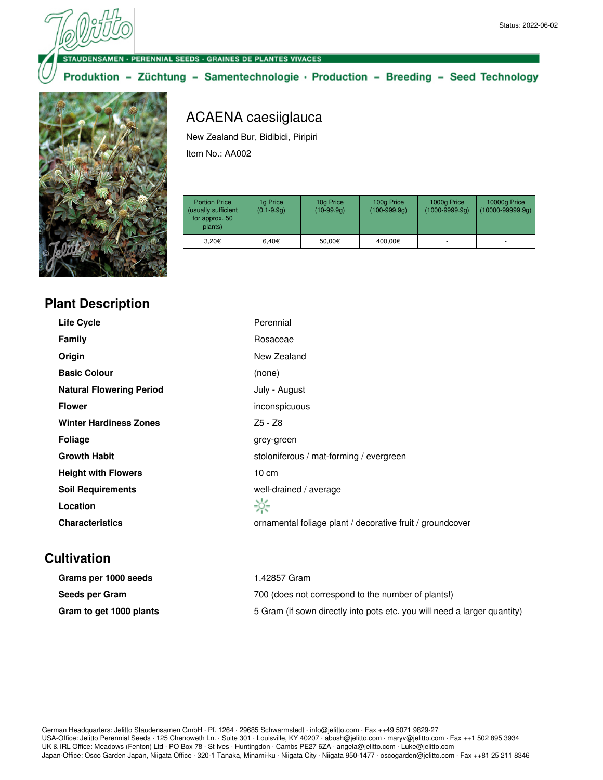**DENSAMEN · PERENNIAL SEEDS · GRAINES DE PLANTES VIVACES** 

Produktion - Züchtung - Samentechnologie · Production - Breeding - Seed Technology



## ACAENA caesiiglauca

New Zealand Bur, Bidibidi, Piripiri Item No.: AA002

| <b>Portion Price</b><br>(usually sufficient<br>for approx. 50<br>plants) | 1g Price<br>$(0.1 - 9.9q)$ | 10g Price<br>$(10-99.9q)$ | 100g Price<br>$(100-999.9q)$ | 1000g Price<br>$(1000 - 9999.9q)$ | 10000g Price<br>$(10000 - 99999.9q)$ |
|--------------------------------------------------------------------------|----------------------------|---------------------------|------------------------------|-----------------------------------|--------------------------------------|
| 3.20€                                                                    | 6.40€                      | 50.00€                    | 400,00€                      | ۰                                 |                                      |

| <b>Plant Description</b> |  |
|--------------------------|--|
|--------------------------|--|

| <b>Life Cycle</b>               | Perennial                                                 |
|---------------------------------|-----------------------------------------------------------|
| <b>Family</b>                   | Rosaceae                                                  |
| Origin                          | New Zealand                                               |
| <b>Basic Colour</b>             | (none)                                                    |
| <b>Natural Flowering Period</b> | July - August                                             |
| <b>Flower</b>                   | inconspicuous                                             |
| <b>Winter Hardiness Zones</b>   | Z5 - Z8                                                   |
| <b>Foliage</b>                  | grey-green                                                |
| <b>Growth Habit</b>             | stoloniferous / mat-forming / evergreen                   |
| <b>Height with Flowers</b>      | $10 \text{ cm}$                                           |
| <b>Soil Requirements</b>        | well-drained / average                                    |
| Location                        | ☆                                                         |
| <b>Characteristics</b>          | ornamental foliage plant / decorative fruit / groundcover |

## **Cultivation**

| Grams per 1000 seeds    | 1.42857 Gram                                                             |
|-------------------------|--------------------------------------------------------------------------|
| Seeds per Gram          | 700 (does not correspond to the number of plants!)                       |
| Gram to get 1000 plants | 5 Gram (if sown directly into pots etc. you will need a larger quantity) |